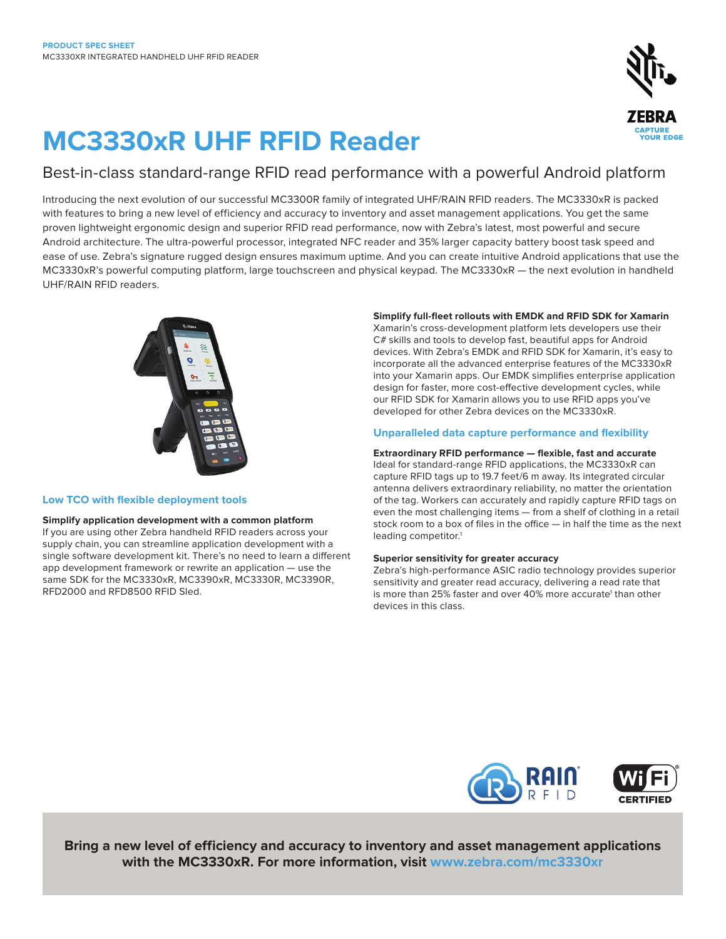

# **MC3330xR UHF RFID Reader**

### Best-in-class standard-range RFID read performance with a powerful Android platform

Introducing the next evolution of our successful MC3300R family of integrated UHF/RAIN RFID readers. The MC3330xR is packed with features to bring a new level of efficiency and accuracy to inventory and asset management applications. You get the same proven lightweight ergonomic design and superior RFID read performance, now with Zebra's latest, most powerful and secure Android architecture. The ultra-powerful processor, integrated NFC reader and 35% larger capacity battery boost task speed and ease of use. Zebra's signature rugged design ensures maximum uptime. And you can create intuitive Android applications that use the MC3330xR's powerful computing platform, large touchscreen and physical keypad. The MC3330xR — the next evolution in handheld UHF/RAIN RFID readers.



#### **Low TCO with flexible deployment tools**

**Simplify application development with a common platform** If you are using other Zebra handheld RFID readers across your supply chain, you can streamline application development with a single software development kit. There's no need to learn a different app development framework or rewrite an application — use the same SDK for the MC3330xR, MC3390xR, MC3330R, MC3390R, RFD2000 and RFD8500 RFID Sled.

#### **Simplify full-fleet rollouts with EMDK and RFID SDK for Xamarin**

Xamarin's cross-development platform lets developers use their C# skills and tools to develop fast, beautiful apps for Android devices. With Zebra's EMDK and RFID SDK for Xamarin, it's easy to incorporate all the advanced enterprise features of the MC3330xR into your Xamarin apps. Our EMDK simplifies enterprise application design for faster, more cost-effective development cycles, while our RFID SDK for Xamarin allows you to use RFID apps you've developed for other Zebra devices on the MC3330xR.

#### **Unparalleled data capture performance and flexibility**

#### **Extraordinary RFID performance — flexible, fast and accurate**

Ideal for standard-range RFID applications, the MC3330xR can capture RFID tags up to 19.7 feet/6 m away. Its integrated circular antenna delivers extraordinary reliability, no matter the orientation of the tag. Workers can accurately and rapidly capture RFID tags on even the most challenging items — from a shelf of clothing in a retail stock room to a box of files in the office — in half the time as the next leading competitor.<sup>1</sup>

#### **Superior sensitivity for greater accuracy**

Zebra's high-performance ASIC radio technology provides superior sensitivity and greater read accuracy, delivering a read rate that is more than 25% faster and over 40% more accurate<sup>1</sup> than other devices in this class.



**Bring a new level of efficiency and accuracy to inventory and asset management applications with the MC3330xR. For more information, visit [www.zebra.com/m](http://www.zebra.com/mc3330xr)c3330xr**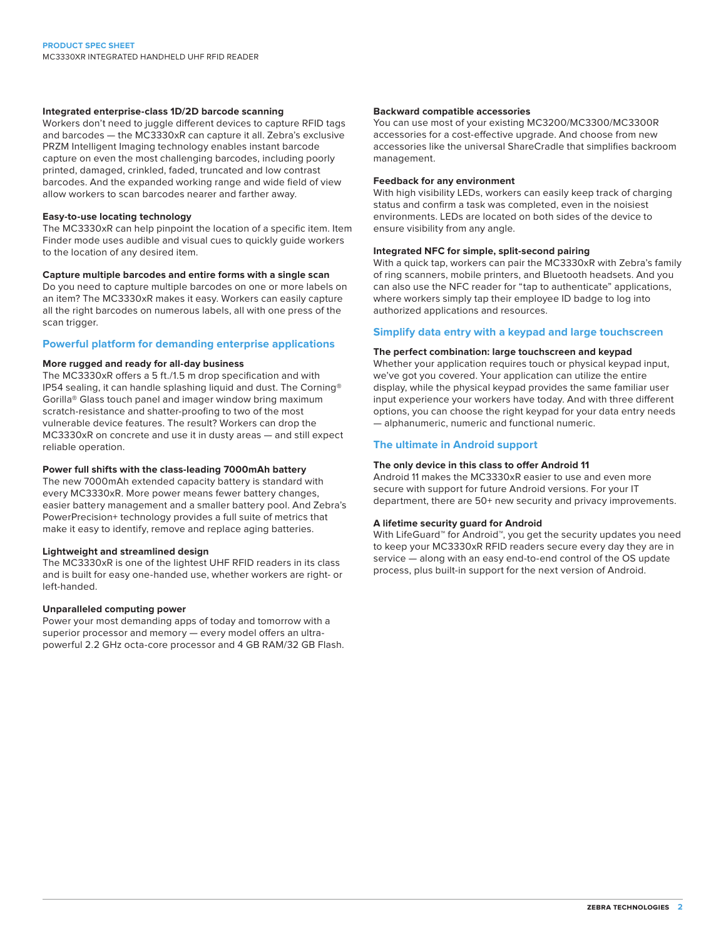#### **Integrated enterprise-class 1D/2D barcode scanning**

Workers don't need to juggle different devices to capture RFID tags and barcodes — the MC3330xR can capture it all. Zebra's exclusive PRZM Intelligent Imaging technology enables instant barcode capture on even the most challenging barcodes, including poorly printed, damaged, crinkled, faded, truncated and low contrast barcodes. And the expanded working range and wide field of view allow workers to scan barcodes nearer and farther away.

#### **Easy-to-use locating technology**

The MC3330xR can help pinpoint the location of a specific item. Item Finder mode uses audible and visual cues to quickly guide workers to the location of any desired item.

#### **Capture multiple barcodes and entire forms with a single scan**

Do you need to capture multiple barcodes on one or more labels on an item? The MC3330xR makes it easy. Workers can easily capture all the right barcodes on numerous labels, all with one press of the scan trigger.

#### **Powerful platform for demanding enterprise applications**

#### **More rugged and ready for all-day business**

The MC3330xR offers a 5 ft./1.5 m drop specification and with IP54 sealing, it can handle splashing liquid and dust. The Corning® Gorilla® Glass touch panel and imager window bring maximum scratch-resistance and shatter-proofing to two of the most vulnerable device features. The result? Workers can drop the MC3330xR on concrete and use it in dusty areas — and still expect reliable operation.

#### **Power full shifts with the class-leading 7000mAh battery**

The new 7000mAh extended capacity battery is standard with every MC3330xR. More power means fewer battery changes, easier battery management and a smaller battery pool. And Zebra's PowerPrecision+ technology provides a full suite of metrics that make it easy to identify, remove and replace aging batteries.

#### **Lightweight and streamlined design**

The MC3330xR is one of the lightest UHF RFID readers in its class and is built for easy one-handed use, whether workers are right- or left-handed.

#### **Unparalleled computing power**

Power your most demanding apps of today and tomorrow with a superior processor and memory — every model offers an ultrapowerful 2.2 GHz octa-core processor and 4 GB RAM/32 GB Flash.

#### **Backward compatible accessories**

You can use most of your existing MC3200/MC3300/MC3300R accessories for a cost-effective upgrade. And choose from new accessories like the universal ShareCradle that simplifies backroom management.

#### **Feedback for any environment**

With high visibility LEDs, workers can easily keep track of charging status and confirm a task was completed, even in the noisiest environments. LEDs are located on both sides of the device to ensure visibility from any angle.

#### **Integrated NFC for simple, split-second pairing**

With a quick tap, workers can pair the MC3330xR with Zebra's family of ring scanners, mobile printers, and Bluetooth headsets. And you can also use the NFC reader for "tap to authenticate" applications, where workers simply tap their employee ID badge to log into authorized applications and resources.

#### **Simplify data entry with a keypad and large touchscreen**

#### **The perfect combination: large touchscreen and keypad**

Whether your application requires touch or physical keypad input, we've got you covered. Your application can utilize the entire display, while the physical keypad provides the same familiar user input experience your workers have today. And with three different options, you can choose the right keypad for your data entry needs — alphanumeric, numeric and functional numeric.

#### **The ultimate in Android support**

#### **The only device in this class to offer Android 11**

Android 11 makes the MC3330xR easier to use and even more secure with support for future Android versions. For your IT department, there are 50+ new security and privacy improvements.

#### **A lifetime security guard for Android**

With LifeGuard™ for Android™, you get the security updates you need to keep your MC3330xR RFID readers secure every day they are in service — along with an easy end-to-end control of the OS update process, plus built-in support for the next version of Android.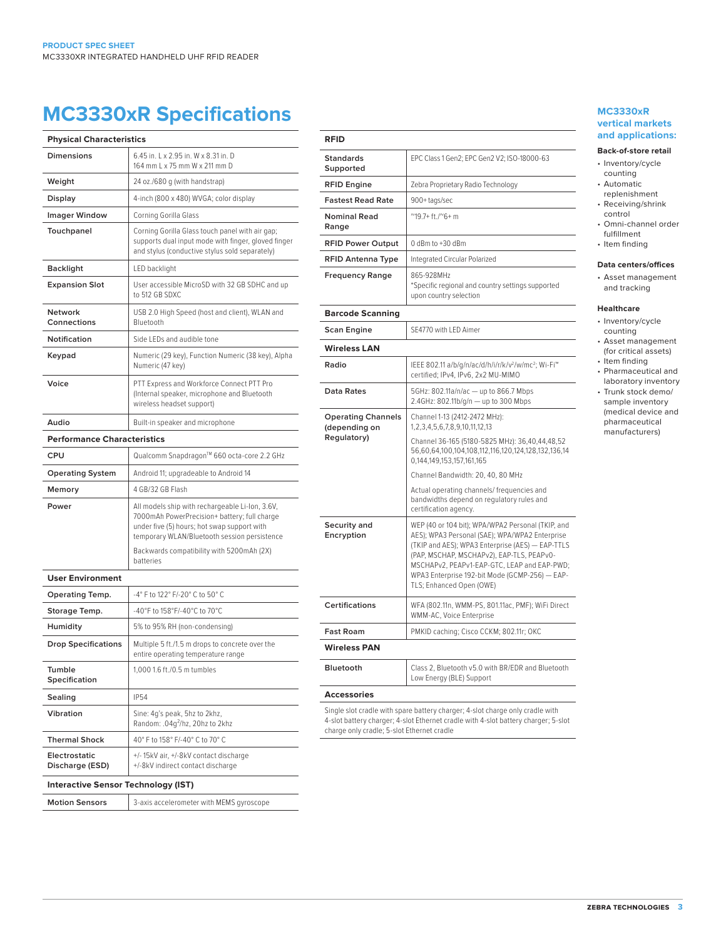## **MC3330xR Specifications MC3330xR**

| <b>Physical Characteristics</b>            |                                                                                                                                                                                                |
|--------------------------------------------|------------------------------------------------------------------------------------------------------------------------------------------------------------------------------------------------|
| <b>Dimensions</b>                          | 6.45 in. L x 2.95 in. W x 8.31 in. D<br>164 mm L x 75 mm W x 211 mm D                                                                                                                          |
| Weight                                     | 24 oz./680 g (with handstrap)                                                                                                                                                                  |
| Display                                    | 4-inch (800 x 480) WVGA; color display                                                                                                                                                         |
| <b>Imager Window</b>                       | Corning Gorilla Glass                                                                                                                                                                          |
| Touchpanel                                 | Corning Gorilla Glass touch panel with air gap;<br>supports dual input mode with finger, gloved finger<br>and stylus (conductive stylus sold separately)                                       |
| <b>Backlight</b>                           | LED backlight                                                                                                                                                                                  |
| <b>Expansion Slot</b>                      | User accessible MicroSD with 32 GB SDHC and up<br>to 512 GB SDXC                                                                                                                               |
| Network<br>Connections                     | USB 2.0 High Speed (host and client), WLAN and<br>Bluetooth                                                                                                                                    |
| Notification                               | Side LEDs and audible tone                                                                                                                                                                     |
| Keypad                                     | Numeric (29 key), Function Numeric (38 key), Alpha<br>Numeric (47 key)                                                                                                                         |
| Voice                                      | PTT Express and Workforce Connect PTT Pro<br>(Internal speaker, microphone and Bluetooth<br>wireless headset support)                                                                          |
| Audio                                      | Built-in speaker and microphone                                                                                                                                                                |
| <b>Performance Characteristics</b>         |                                                                                                                                                                                                |
| CPU                                        | Qualcomm Snapdragon™ 660 octa-core 2.2 GHz                                                                                                                                                     |
| <b>Operating System</b>                    | Android 11; upgradeable to Android 14                                                                                                                                                          |
| Memory                                     | 4 GB/32 GB Flash                                                                                                                                                                               |
| Power                                      | All models ship with rechargeable Li-Ion, 3.6V,<br>7000mAh PowerPrecision+ battery; full charge<br>under five (5) hours; hot swap support with<br>temporary WLAN/Bluetooth session persistence |
|                                            | Backwards compatibility with 5200mAh (2X)<br>batteries                                                                                                                                         |
| <b>User Environment</b>                    |                                                                                                                                                                                                |
| <b>Operating Temp.</b>                     | -4° F to 122° F/-20° C to 50° C                                                                                                                                                                |
| Storage Temp.                              | -40°F to 158°F/-40°C to 70°C                                                                                                                                                                   |
| Humidity                                   | 5% to 95% RH (non-condensing)                                                                                                                                                                  |
| <b>Drop Specifications</b>                 | Multiple 5 ft./1.5 m drops to concrete over the<br>entire operating temperature range                                                                                                          |
| Tumble<br>Specification                    | 1,000 1.6 ft./0.5 m tumbles                                                                                                                                                                    |
| Sealing                                    | <b>IP54</b>                                                                                                                                                                                    |
| Vibration                                  | Sine: 4g's peak, 5hz to 2khz,<br>Random: .04q <sup>2</sup> /hz, 20hz to 2khz                                                                                                                   |
| <b>Thermal Shock</b>                       | 40° F to 158° F/-40° C to 70° C                                                                                                                                                                |
| Electrostatic<br>Discharge (ESD)           | +/-15kV air, +/-8kV contact discharge<br>+/-8kV indirect contact discharge                                                                                                                     |
| <b>Interactive Sensor Technology (IST)</b> |                                                                                                                                                                                                |
| <b>Motion Sensors</b>                      | 3-axis accelerometer with MEMS gyroscope                                                                                                                                                       |

| <b>RFID</b>                                |                                                                                                                                                                                                                                                                                                                                   |
|--------------------------------------------|-----------------------------------------------------------------------------------------------------------------------------------------------------------------------------------------------------------------------------------------------------------------------------------------------------------------------------------|
| <b>Standards</b><br>Supported              | EPC Class 1 Gen2; EPC Gen2 V2; ISO-18000-63                                                                                                                                                                                                                                                                                       |
| <b>RFID Engine</b>                         | Zebra Proprietary Radio Technology                                                                                                                                                                                                                                                                                                |
| <b>Fastest Read Rate</b>                   | 900+tags/sec                                                                                                                                                                                                                                                                                                                      |
| <b>Nominal Read</b><br>Range               | $^{\prime\prime}$ 19.7+ft./ $^{\prime\prime}$ 6+m                                                                                                                                                                                                                                                                                 |
| <b>RFID Power Output</b>                   | 0 dBm to +30 dBm                                                                                                                                                                                                                                                                                                                  |
| <b>RFID Antenna Type</b>                   | Integrated Circular Polarized                                                                                                                                                                                                                                                                                                     |
| <b>Frequency Range</b>                     | 865-928MHz<br>*Specific regional and country settings supported<br>upon country selection                                                                                                                                                                                                                                         |
| <b>Barcode Scanning</b>                    |                                                                                                                                                                                                                                                                                                                                   |
| Scan Engine                                | SE4770 with LED Aimer                                                                                                                                                                                                                                                                                                             |
| <b>Wireless LAN</b>                        |                                                                                                                                                                                                                                                                                                                                   |
| Radio                                      | IEEE 802.11 a/b/g/n/ac/d/h/i/r/k/v <sup>2</sup> /w/mc <sup>2</sup> ; Wi-Fi <sup>™</sup><br>certified; IPv4, IPv6, 2x2 MU-MIMO                                                                                                                                                                                                     |
| <b>Data Rates</b>                          | 5GHz: 802.11a/n/ac - up to 866.7 Mbps<br>2.4GHz: 802.11b/g/n - up to 300 Mbps                                                                                                                                                                                                                                                     |
| <b>Operating Channels</b><br>(depending on | Channel 1-13 (2412-2472 MHz):<br>1,2,3,4,5,6,7,8,9,10,11,12,13                                                                                                                                                                                                                                                                    |
| Regulatory)                                | Channel 36-165 (5180-5825 MHz): 36,40,44,48,52<br>56,60,64,100,104,108,112,116,120,124,128,132,136,14<br>0,144,149,153,157,161,165                                                                                                                                                                                                |
|                                            | Channel Bandwidth: 20, 40, 80 MHz                                                                                                                                                                                                                                                                                                 |
|                                            | Actual operating channels/ frequencies and<br>bandwidths depend on regulatory rules and<br>certification agency.                                                                                                                                                                                                                  |
| Security and<br>Encryption                 | WEP (40 or 104 bit); WPA/WPA2 Personal (TKIP, and<br>AES); WPA3 Personal (SAE); WPA/WPA2 Enterprise<br>(TKIP and AES); WPA3 Enterprise (AES) - EAP-TTLS<br>(PAP, MSCHAP, MSCHAPv2), EAP-TLS, PEAPv0-<br>MSCHAPv2, PEAPv1-EAP-GTC, LEAP and EAP-PWD;<br>WPA3 Enterprise 192-bit Mode (GCMP-256) - EAP-<br>TLS; Enhanced Open (OWE) |
| <b>Certifications</b>                      | WFA (802.11n, WMM-PS, 801.11ac, PMF); WiFi Direct<br>WMM-AC, Voice Enterprise                                                                                                                                                                                                                                                     |
| <b>Fast Roam</b>                           | PMKID caching; Cisco CCKM; 802.11r; OKC                                                                                                                                                                                                                                                                                           |
| <b>Wireless PAN</b>                        |                                                                                                                                                                                                                                                                                                                                   |
| <b>Bluetooth</b>                           | Class 2, Bluetooth v5.0 with BR/EDR and Bluetooth<br>Low Energy (BLE) Support                                                                                                                                                                                                                                                     |
| <b>Accessories</b>                         |                                                                                                                                                                                                                                                                                                                                   |

### **vertical markets and applications:**

#### **Back-of-store retail**

#### • Inventory/cycle counting

- Automatic
- replenishment
- Receiving/shrink control
- Omni-channel order fulfillment
- Item finding

#### **Data centers/offices**

• Asset management and tracking

#### **Healthcare**

- Inventory/cycle counting
- Asset management (for critical assets)
- Item finding
- Pharmaceutical and laboratory inventory
- Trunk stock demo/ sample inventory (medical device and pharmaceutical manufacturers)

Single slot cradle with spare battery charger; 4-slot charge only cradle with 4-slot battery charger; 4-slot Ethernet cradle with 4-slot battery charger; 5-slot charge only cradle; 5-slot Ethernet cradle

**zebra technologies 3**